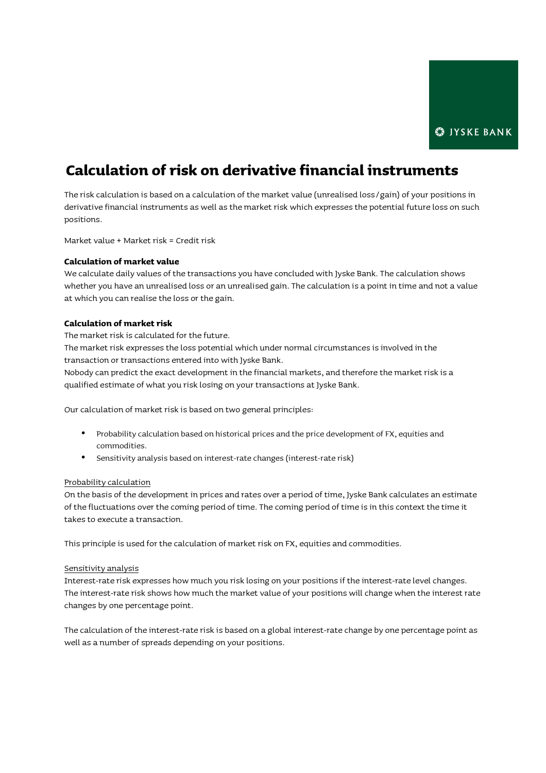# Calculation of risk on derivative financial instruments

The risk calculation is based on a calculation of the market value (unrealised loss/gain) of your positions in derivative financial instruments as well as the market risk which expresses the potential future loss on such positions.

Market value + Market risk = Credit risk

## Calculation of market value

We calculate daily values of the transactions you have concluded with Jyske Bank. The calculation shows whether you have an unrealised loss or an unrealised gain. The calculation is a point in time and not a value at which you can realise the loss or the gain.

### Calculation of market risk

The market risk is calculated for the future.

The market risk expresses the loss potential which under normal circumstances is involved in the transaction or transactions entered into with Jyske Bank.

Nobody can predict the exact development in the financial markets, and therefore the market risk is a qualified estimate of what you risk losing on your transactions at Jyske Bank.

Our calculation of market risk is based on two general principles:

- Probability calculation based on historical prices and the price development of FX, equities and commodities.
- Sensitivity analysis based on interest-rate changes (interest-rate risk)

### Probability calculation

On the basis of the development in prices and rates over a period of time, Jyske Bank calculates an estimate of the fluctuations over the coming period of time. The coming period of time is in this context the time it takes to execute a transaction.

This principle is used for the calculation of market risk on FX, equities and commodities.

#### Sensitivity analysis

Interest-rate risk expresses how much you risk losing on your positions if the interest-rate level changes. The interest-rate risk shows how much the market value of your positions will change when the interest rate changes by one percentage point.

The calculation of the interest-rate risk is based on a global interest-rate change by one percentage point as well as a number of spreads depending on your positions.